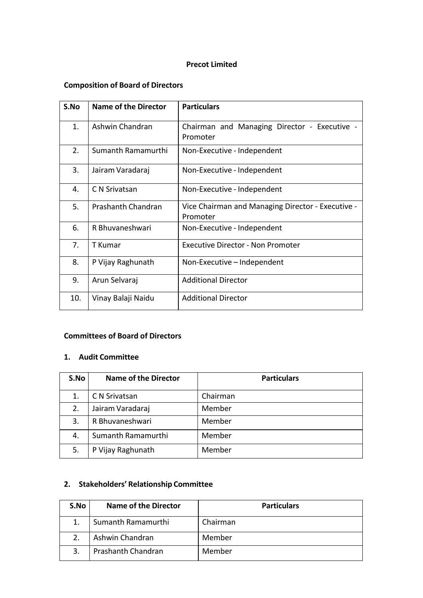### **Precot Limited**

# **Composition of Board of Directors**

| S.No | <b>Name of the Director</b> | <b>Particulars</b>                                            |
|------|-----------------------------|---------------------------------------------------------------|
| 1.   | Ashwin Chandran             | Chairman and Managing Director - Executive -<br>Promoter      |
| 2.   | Sumanth Ramamurthi          | Non-Executive - Independent                                   |
| 3.   | Jairam Varadaraj            | Non-Executive - Independent                                   |
| 4.   | C N Srivatsan               | Non-Executive - Independent                                   |
| 5.   | Prashanth Chandran          | Vice Chairman and Managing Director - Executive -<br>Promoter |
| 6.   | R Bhuvaneshwari             | Non-Executive - Independent                                   |
| 7.   | T Kumar                     | <b>Executive Director - Non Promoter</b>                      |
| 8.   | P Vijay Raghunath           | Non-Executive - Independent                                   |
| 9.   | Arun Selvaraj               | <b>Additional Director</b>                                    |
| 10.  | Vinay Balaji Naidu          | <b>Additional Director</b>                                    |

### **Committees of Board of Directors**

#### **1. Audit Committee**

| S.No | <b>Name of the Director</b> | <b>Particulars</b> |
|------|-----------------------------|--------------------|
| 1.   | C N Srivatsan               | Chairman           |
| 2.   | Jairam Varadaraj            | Member             |
| 3.   | R Bhuvaneshwari             | Member             |
| 4.   | Sumanth Ramamurthi          | Member             |
| 5.   | P Vijay Raghunath           | Member             |

## **2. Stakeholders' Relationship Committee**

| S.No | <b>Name of the Director</b> | <b>Particulars</b> |
|------|-----------------------------|--------------------|
|      | Sumanth Ramamurthi          | Chairman           |
|      | Ashwin Chandran             | Member             |
|      | Prashanth Chandran          | Member             |